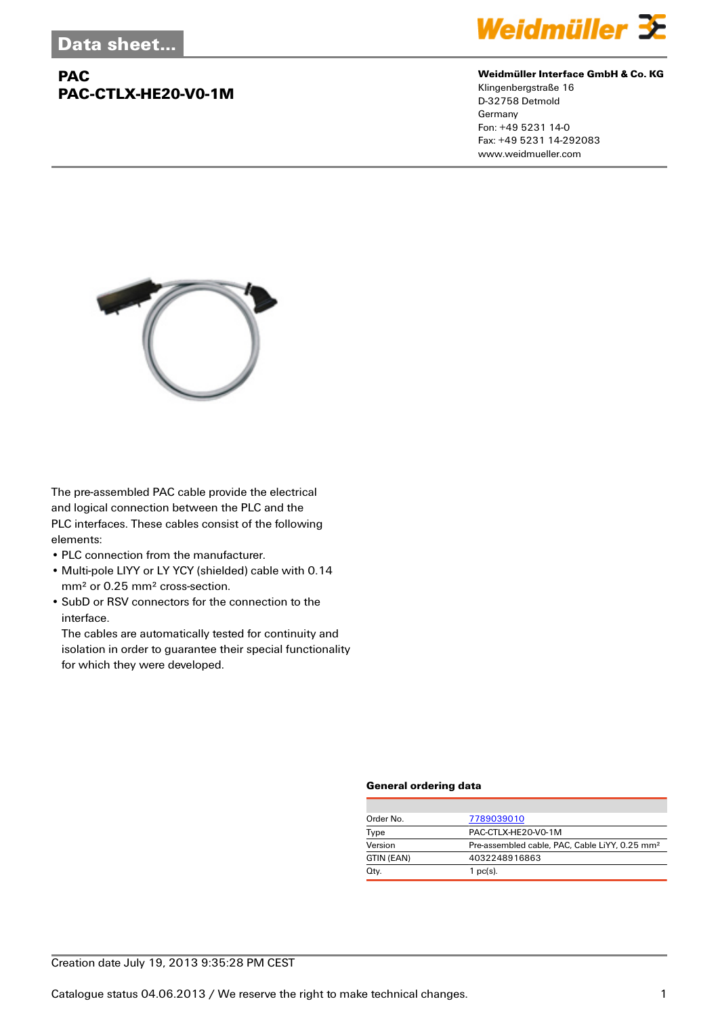# **PAC PAC-CTLX-HE20-V0-1M**



#### **Weidmüller Interface GmbH & Co. KG**

Klingenbergstraße 16 D-32758 Detmold Germany Fon: +49 5231 14-0 Fax: +49 5231 14-292083 www.weidmueller.com



The pre-assembled PAC cable provide the electrical and logical connection between the PLC and the PLC interfaces. These cables consist of the following elements:

- PLC connection from the manufacturer.
- Multi-pole LIYY or LY YCY (shielded) cable with 0.14 mm² or 0.25 mm² cross-section.
- SubD or RSV connectors for the connection to the interface.

The cables are automatically tested for continuity and isolation in order to guarantee their special functionality for which they were developed.

### **General ordering data**

| Order No.  | 7789039010                                                 |
|------------|------------------------------------------------------------|
| Type       | PAC-CTLX-HE20-V0-1M                                        |
| Version    | Pre-assembled cable, PAC, Cable LiYY, 0.25 mm <sup>2</sup> |
| GTIN (EAN) | 4032248916863                                              |
| Qty.       | $1$ pc(s).                                                 |